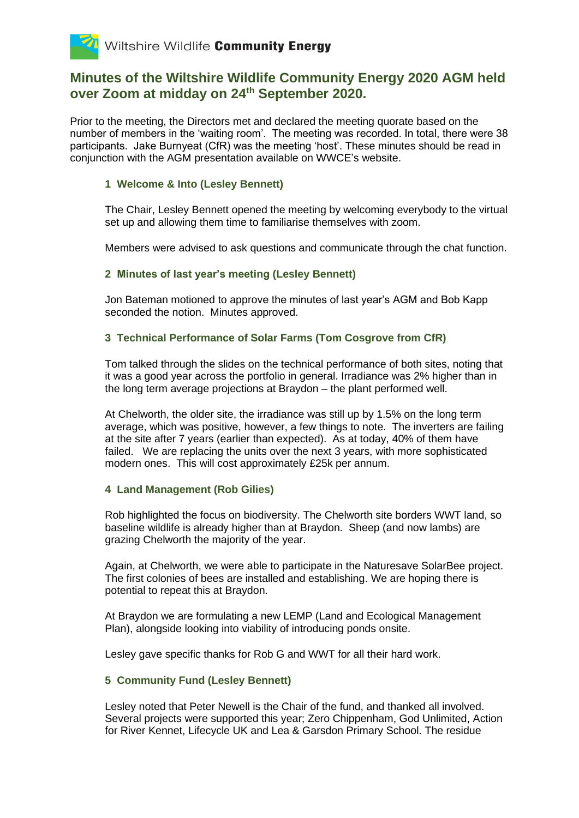### **Minutes of the Wiltshire Wildlife Community Energy 2020 AGM held over Zoom at midday on 24th September 2020.**

Prior to the meeting, the Directors met and declared the meeting quorate based on the number of members in the 'waiting room'. The meeting was recorded. In total, there were 38 participants. Jake Burnyeat (CfR) was the meeting 'host'. These minutes should be read in conjunction with the AGM presentation available on WWCE's website.

### **1 Welcome & Into (Lesley Bennett)**

The Chair, Lesley Bennett opened the meeting by welcoming everybody to the virtual set up and allowing them time to familiarise themselves with zoom.

Members were advised to ask questions and communicate through the chat function.

### **2 Minutes of last year's meeting (Lesley Bennett)**

Jon Bateman motioned to approve the minutes of last year's AGM and Bob Kapp seconded the notion. Minutes approved.

### **3 Technical Performance of Solar Farms (Tom Cosgrove from CfR)**

Tom talked through the slides on the technical performance of both sites, noting that it was a good year across the portfolio in general. Irradiance was 2% higher than in the long term average projections at Braydon – the plant performed well.

At Chelworth, the older site, the irradiance was still up by 1.5% on the long term average, which was positive, however, a few things to note. The inverters are failing at the site after 7 years (earlier than expected). As at today, 40% of them have failed. We are replacing the units over the next 3 years, with more sophisticated modern ones. This will cost approximately £25k per annum.

### **4 Land Management (Rob Gilies)**

Rob highlighted the focus on biodiversity. The Chelworth site borders WWT land, so baseline wildlife is already higher than at Braydon. Sheep (and now lambs) are grazing Chelworth the majority of the year.

Again, at Chelworth, we were able to participate in the Naturesave SolarBee project. The first colonies of bees are installed and establishing. We are hoping there is potential to repeat this at Braydon.

At Braydon we are formulating a new LEMP (Land and Ecological Management Plan), alongside looking into viability of introducing ponds onsite.

Lesley gave specific thanks for Rob G and WWT for all their hard work.

### **5 Community Fund (Lesley Bennett)**

Lesley noted that Peter Newell is the Chair of the fund, and thanked all involved. Several projects were supported this year; Zero Chippenham, God Unlimited, Action for River Kennet, Lifecycle UK and Lea & Garsdon Primary School. The residue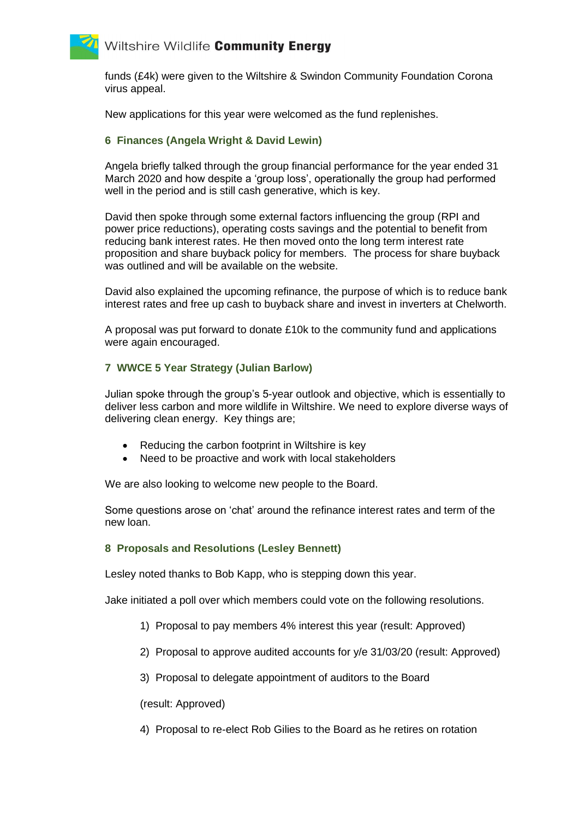## Wiltshire Wildlife Community Energy

funds (£4k) were given to the Wiltshire & Swindon Community Foundation Corona virus appeal.

New applications for this year were welcomed as the fund replenishes.

### **6 Finances (Angela Wright & David Lewin)**

Angela briefly talked through the group financial performance for the year ended 31 March 2020 and how despite a 'group loss', operationally the group had performed well in the period and is still cash generative, which is key.

David then spoke through some external factors influencing the group (RPI and power price reductions), operating costs savings and the potential to benefit from reducing bank interest rates. He then moved onto the long term interest rate proposition and share buyback policy for members. The process for share buyback was outlined and will be available on the website.

David also explained the upcoming refinance, the purpose of which is to reduce bank interest rates and free up cash to buyback share and invest in inverters at Chelworth.

A proposal was put forward to donate £10k to the community fund and applications were again encouraged.

### **7 WWCE 5 Year Strategy (Julian Barlow)**

Julian spoke through the group's 5-year outlook and objective, which is essentially to deliver less carbon and more wildlife in Wiltshire. We need to explore diverse ways of delivering clean energy. Key things are;

- Reducing the carbon footprint in Wiltshire is key
- Need to be proactive and work with local stakeholders

We are also looking to welcome new people to the Board.

Some questions arose on 'chat' around the refinance interest rates and term of the new loan.

#### **8 Proposals and Resolutions (Lesley Bennett)**

Lesley noted thanks to Bob Kapp, who is stepping down this year.

Jake initiated a poll over which members could vote on the following resolutions.

- 1) Proposal to pay members 4% interest this year (result: Approved)
- 2) Proposal to approve audited accounts for y/e 31/03/20 (result: Approved)
- 3) Proposal to delegate appointment of auditors to the Board

(result: Approved)

4) Proposal to re-elect Rob Gilies to the Board as he retires on rotation